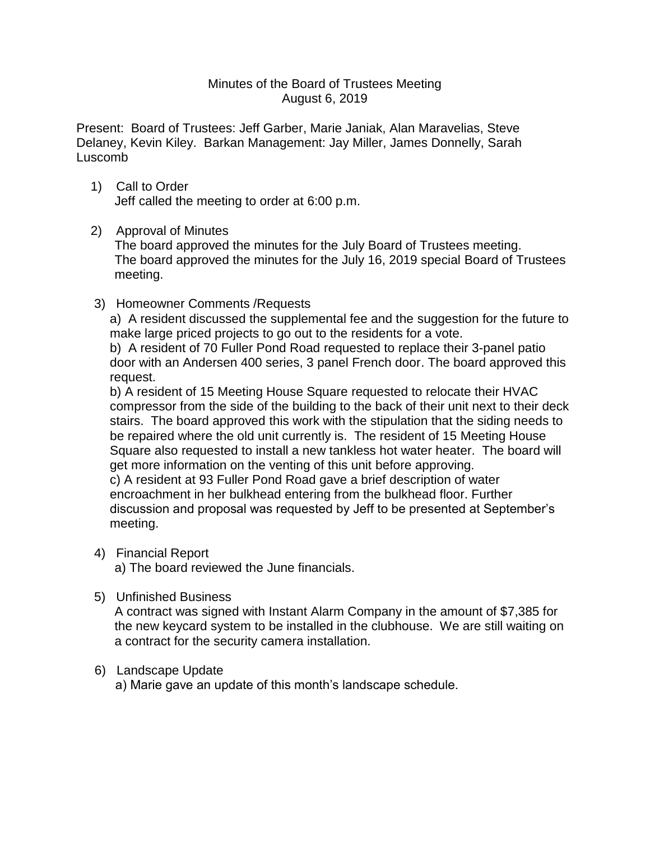### Minutes of the Board of Trustees Meeting August 6, 2019

Present: Board of Trustees: Jeff Garber, Marie Janiak, Alan Maravelias, Steve Delaney, Kevin Kiley. Barkan Management: Jay Miller, James Donnelly, Sarah Luscomb

 1) Call to Order Jeff called the meeting to order at 6:00 p.m.

## 2) Approval of Minutes

The board approved the minutes for the July Board of Trustees meeting. The board approved the minutes for the July 16, 2019 special Board of Trustees meeting.

3) Homeowner Comments /Requests

a) A resident discussed the supplemental fee and the suggestion for the future to make large priced projects to go out to the residents for a vote.

b) A resident of 70 Fuller Pond Road requested to replace their 3-panel patio door with an Andersen 400 series, 3 panel French door. The board approved this request.

b) A resident of 15 Meeting House Square requested to relocate their HVAC compressor from the side of the building to the back of their unit next to their deck stairs. The board approved this work with the stipulation that the siding needs to be repaired where the old unit currently is. The resident of 15 Meeting House Square also requested to install a new tankless hot water heater. The board will get more information on the venting of this unit before approving. c) A resident at 93 Fuller Pond Road gave a brief description of water

encroachment in her bulkhead entering from the bulkhead floor. Further discussion and proposal was requested by Jeff to be presented at September's meeting.

### 4) Financial Report

a) The board reviewed the June financials.

### 5) Unfinished Business

A contract was signed with Instant Alarm Company in the amount of \$7,385 for the new keycard system to be installed in the clubhouse. We are still waiting on a contract for the security camera installation.

# 6) Landscape Update

a) Marie gave an update of this month's landscape schedule.